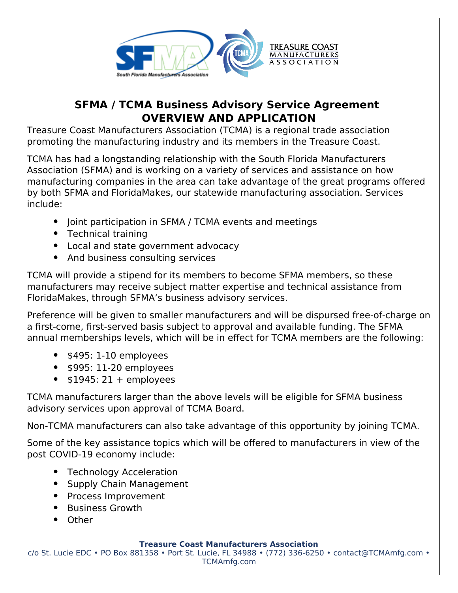

## **SFMA / TCMA Business Advisory Service Agreement OVERVIEW AND APPLICATION**

Treasure Coast Manufacturers Association (TCMA) is a regional trade association promoting the manufacturing industry and its members in the Treasure Coast.

TCMA has had a longstanding relationship with the South Florida Manufacturers Association (SFMA) and is working on a variety of services and assistance on how manufacturing companies in the area can take advantage of the great programs offered by both SFMA and FloridaMakes, our statewide manufacturing association. Services include:

- Joint participation in SFMA / TCMA events and meetings
- Technical training
- Local and state government advocacy
- And business consulting services

TCMA will provide a stipend for its members to become SFMA members, so these manufacturers may receive subject matter expertise and technical assistance from FloridaMakes, through SFMA's business advisory services.

Preference will be given to smaller manufacturers and will be dispursed free-of-charge on a first-come, first-served basis subject to approval and available funding. The SFMA annual memberships levels, which will be in effect for TCMA members are the following:

- $\bullet$  \$495: 1-10 employees
- $\bullet$  \$995: 11-20 employees
- $\bullet$  \$1945: 21 + employees

TCMA manufacturers larger than the above levels will be eligible for SFMA business advisory services upon approval of TCMA Board.

Non-TCMA manufacturers can also take advantage of this opportunity by joining TCMA.

Some of the key assistance topics which will be offered to manufacturers in view of the post COVID-19 economy include:

- Technology Acceleration
- Supply Chain Management
- Process Improvement
- Business Growth
- Other

**Treasure Coast Manufacturers Association**

c/o St. Lucie EDC • PO Box 881358 • Port St. Lucie, FL 34988 • (772) 336-6250 • contact@TCMAmfg.com • TCMAmfg.com